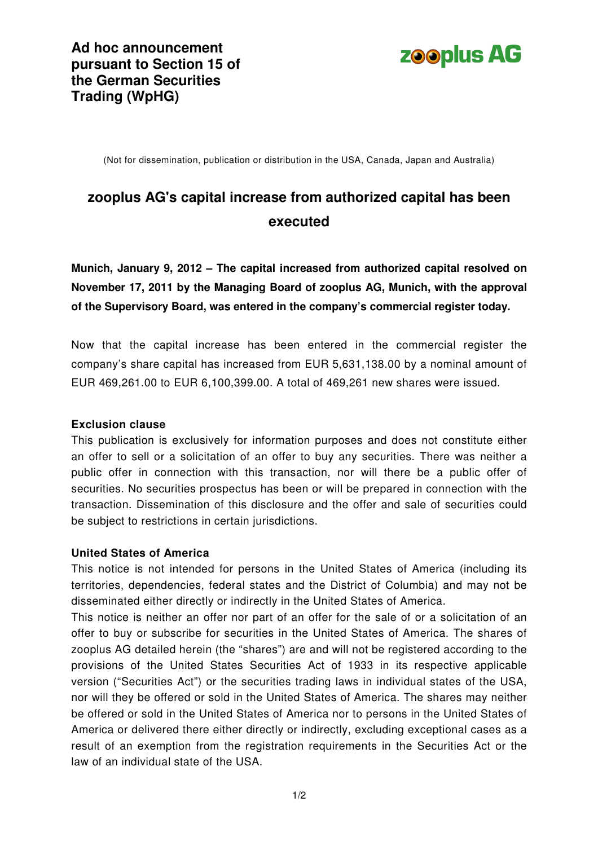

(Not for dissemination, publication or distribution in the USA, Canada, Japan and Australia)

# **zooplus AG's capital increase from authorized capital has been executed**

**Munich, January 9, 2012 – The capital increased from authorized capital resolved on November 17, 2011 by the Managing Board of zooplus AG, Munich, with the approval of the Supervisory Board, was entered in the company's commercial register today.** 

Now that the capital increase has been entered in the commercial register the company's share capital has increased from EUR 5,631,138.00 by a nominal amount of EUR 469,261.00 to EUR 6,100,399.00. A total of 469,261 new shares were issued.

# **Exclusion clause**

This publication is exclusively for information purposes and does not constitute either an offer to sell or a solicitation of an offer to buy any securities. There was neither a public offer in connection with this transaction, nor will there be a public offer of securities. No securities prospectus has been or will be prepared in connection with the transaction. Dissemination of this disclosure and the offer and sale of securities could be subject to restrictions in certain jurisdictions.

# **United States of America**

This notice is not intended for persons in the United States of America (including its territories, dependencies, federal states and the District of Columbia) and may not be disseminated either directly or indirectly in the United States of America.

This notice is neither an offer nor part of an offer for the sale of or a solicitation of an offer to buy or subscribe for securities in the United States of America. The shares of zooplus AG detailed herein (the "shares") are and will not be registered according to the provisions of the United States Securities Act of 1933 in its respective applicable version ("Securities Act") or the securities trading laws in individual states of the USA, nor will they be offered or sold in the United States of America. The shares may neither be offered or sold in the United States of America nor to persons in the United States of America or delivered there either directly or indirectly, excluding exceptional cases as a result of an exemption from the registration requirements in the Securities Act or the law of an individual state of the USA.